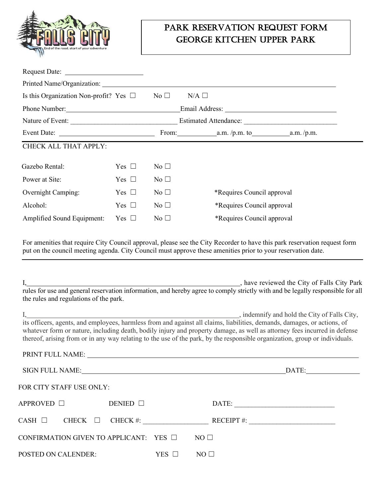

## Park Reservation Request Form George kitchen upper park

| Is this Organization Non-profit? Yes $\Box$ |               | No $\square$    | $N/A$ $\square$                      |  |  |
|---------------------------------------------|---------------|-----------------|--------------------------------------|--|--|
| Phone Number: 1988                          |               |                 |                                      |  |  |
| Nature of Event:                            |               |                 |                                      |  |  |
|                                             |               |                 | From: $a.m. / p.m.$ to $a.m. / p.m.$ |  |  |
| CHECK ALL THAT APPLY:                       |               |                 |                                      |  |  |
| Gazebo Rental:                              | Yes $\square$ | $\rm No \ \Box$ |                                      |  |  |
| Power at Site:                              | Yes $\Box$    | No $\square$    |                                      |  |  |
| Overnight Camping:                          | Yes $\square$ | $No \square$    | *Requires Council approval           |  |  |
| Alcohol:                                    | Yes $\Box$    | No $\square$    | *Requires Council approval           |  |  |
| Amplified Sound Equipment:                  | Yes $\square$ | No $\square$    | *Requires Council approval           |  |  |

For amenities that require City Council approval, please see the City Recorder to have this park reservation request form put on the council meeting agenda. City Council must approve these amenities prior to your reservation date.

| the rules and regulations of the park.      |            | have reviewed the City of Falls City Park<br>1, have reviewed the City of Falls City Park<br>rules for use and general reservation information, and hereby agree to comply strictly with and be legally responsible for all                                                                                                                                                                                                        |  |
|---------------------------------------------|------------|------------------------------------------------------------------------------------------------------------------------------------------------------------------------------------------------------------------------------------------------------------------------------------------------------------------------------------------------------------------------------------------------------------------------------------|--|
|                                             |            | I, indemnify and hold the City of Falls City, its officers, agents, and employees, harmless from and against all claims, liabilities, demands, damages, or actions, of<br>whatever form or nature, including death, bodily injury and property damage, as well as attorney fees incurred in defense<br>thereof, arising from or in any way relating to the use of the park, by the responsible organization, group or individuals. |  |
|                                             |            |                                                                                                                                                                                                                                                                                                                                                                                                                                    |  |
|                                             |            | DATE:                                                                                                                                                                                                                                                                                                                                                                                                                              |  |
| FOR CITY STAFF USE ONLY:                    |            |                                                                                                                                                                                                                                                                                                                                                                                                                                    |  |
| APPROVED □<br>DENIED $\Box$                 |            |                                                                                                                                                                                                                                                                                                                                                                                                                                    |  |
| $CASH \Box$ CHECK<br>$\Box$                 | $CHECK$ #: | RECEIPT #: $\qquad \qquad$                                                                                                                                                                                                                                                                                                                                                                                                         |  |
| CONFIRMATION GIVEN TO APPLICANT: YES $\Box$ |            | NO <sub>1</sub>                                                                                                                                                                                                                                                                                                                                                                                                                    |  |
| POSTED ON CALENDER:                         | YES $\Box$ | $NO$ $\square$                                                                                                                                                                                                                                                                                                                                                                                                                     |  |